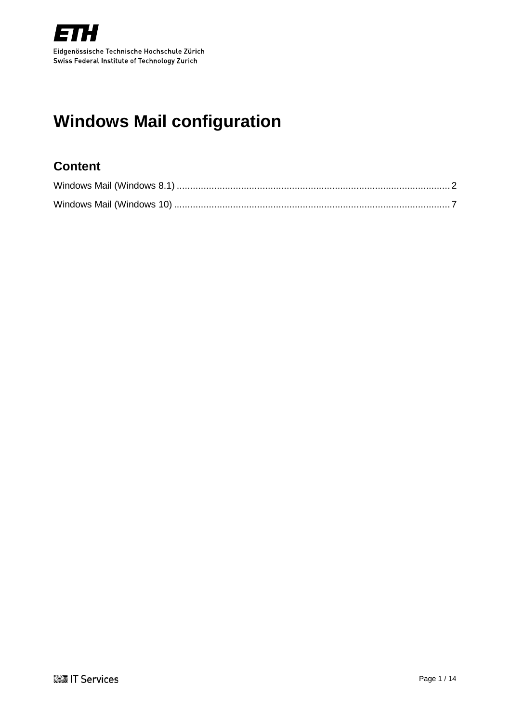

# <span id="page-0-0"></span>**Windows Mail configuration**

## **Content**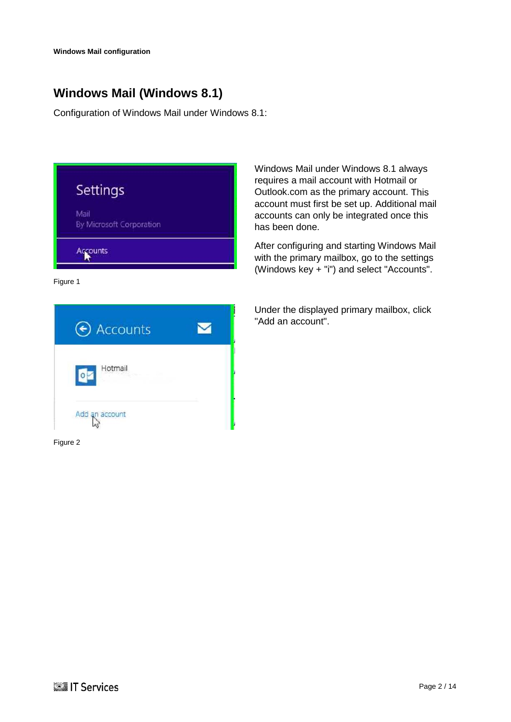## <span id="page-1-0"></span>**Windows Mail (Windows 8.1)**

Configuration of Windows Mail under Windows 8.1:

| Settings                         |  |
|----------------------------------|--|
| Mail<br>By Microsoft Corporation |  |
| Accounts                         |  |

Figure 1



Figure 2

Windows Mail under Windows 8.1 always requires a mail account with Hotmail or Outlook.com as the primary account. This account must first be set up. Additional mail accounts can only be integrated once this has been done.

After configuring and starting Windows Mail with the primary mailbox, go to the settings (Windows key + "i") and select "Accounts".

Under the displayed primary mailbox, click "Add an account".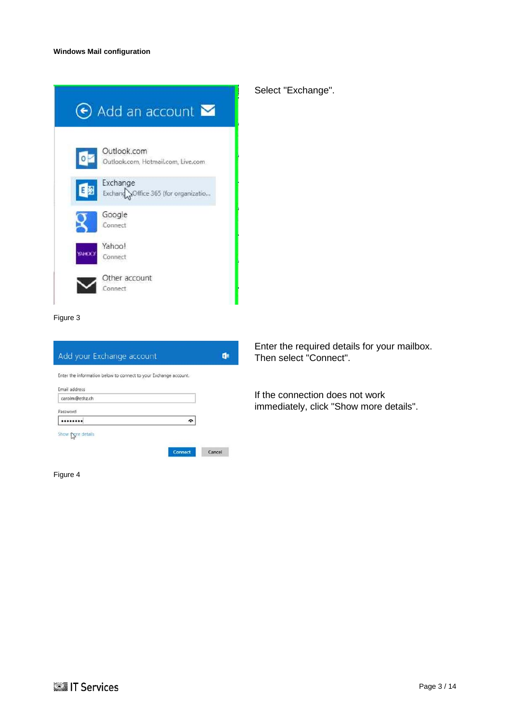|                          | $\Theta$ Add an account $\blacksquare$            |
|--------------------------|---------------------------------------------------|
| $\overline{\phantom{a}}$ | Outlook.com<br>Outlook.com, Hotmail.com, Live.com |
| 日图                       | Exchange<br>Exchange Office 365 (for organizatio  |
|                          | Google<br>Connect                                 |
| <b>CONAY</b>             | Yahoo!<br>Connect                                 |
|                          | Other account<br>onnect                           |

## Select "Exchange".

Figure 3

|                   | Enter the information below to connect to your Exchange account. |  |
|-------------------|------------------------------------------------------------------|--|
| Email address     |                                                                  |  |
| carolm@ethz.ch    |                                                                  |  |
| Password          |                                                                  |  |
|                   |                                                                  |  |
| Show pore details |                                                                  |  |

Figure 4

Enter the required details for your mailbox. Then select "Connect".

If the connection does not work immediately, click "Show more details".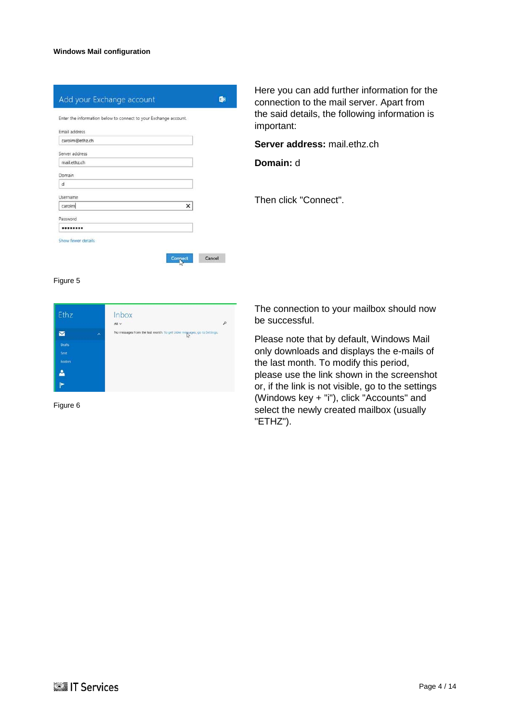| Enter the information below to connect to your Exchange account. |  |
|------------------------------------------------------------------|--|
| Email address                                                    |  |
| carolm@ethz.ch                                                   |  |
| Server address                                                   |  |
| mail.ethz.ch                                                     |  |
| Domain                                                           |  |
| d                                                                |  |
| Username                                                         |  |
| ×<br>carolm                                                      |  |
| Password                                                         |  |
|                                                                  |  |

Here you can add further information for the connection to the mail server. Apart from the said details, the following information is important:

**Server address:** mail.ethz.ch

**Domain:** d

Then click "Connect".

#### Figure 5



Figure 6

The connection to your mailbox should now be successful.

Please note that by default, Windows Mail only downloads and displays the e-mails of the last month. To modify this period, please use the link shown in the screenshot or, if the link is not visible, go to the settings (Windows key + "i"), click "Accounts" and select the newly created mailbox (usually "ETHZ").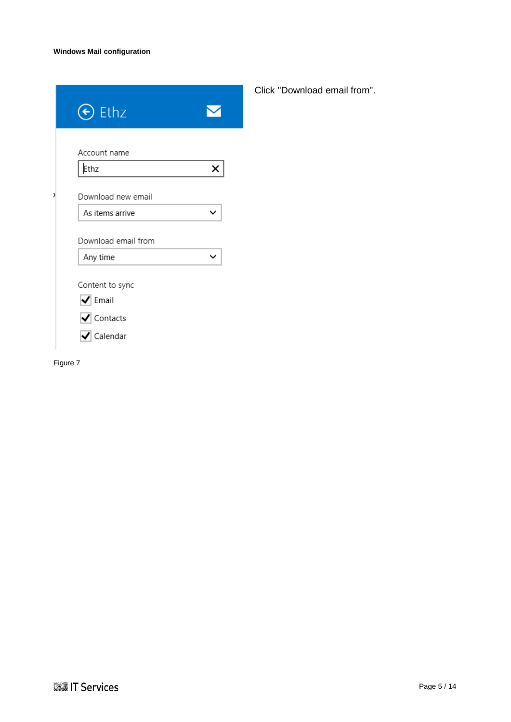| Ethz<br>$(\bm{\epsilon})$                                                 |   |
|---------------------------------------------------------------------------|---|
| Account name<br>Ethz                                                      | x |
| Download new email<br>As items arrive                                     |   |
| Download email from<br>Any time                                           |   |
| Content to sync<br>$\blacktriangleright$ Email                            |   |
| $\blacktriangledown$ Contacts<br>$\overline{\blacktriangledown}$ Calendar |   |

Click "Download email from".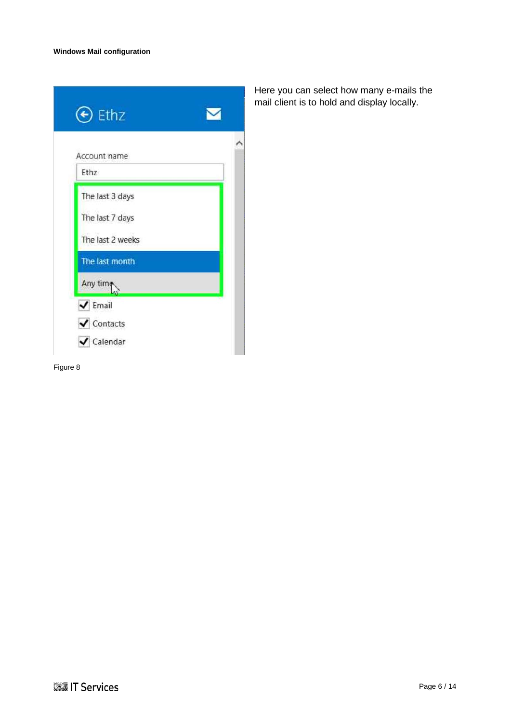| Account name     |  |
|------------------|--|
| Ethz             |  |
| The last 3 days  |  |
| The last 7 days  |  |
| The last 2 weeks |  |
| The last month   |  |
| Any time         |  |

Here you can select how many e-mails the mail client is to hold and display locally.

Figure 8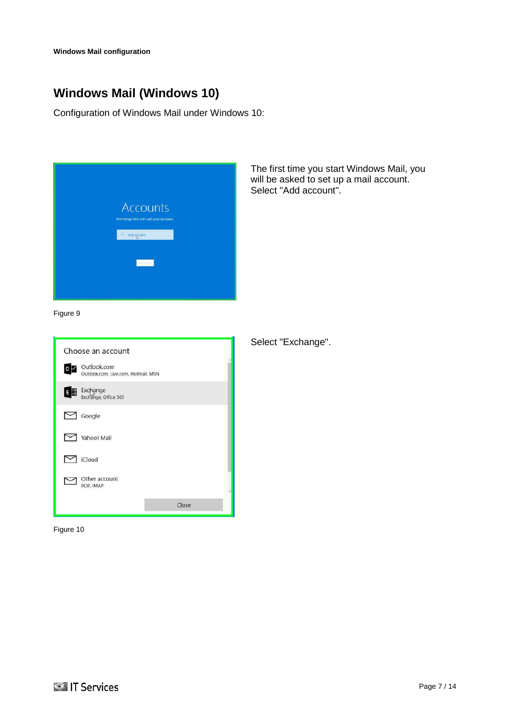**[Windows Mail configuration](#page-0-0)**

# <span id="page-6-0"></span>**Windows Mail (Windows 10)**

Configuration of Windows Mail under Windows 10:

| <b>Accounts</b>                                                  |  |
|------------------------------------------------------------------|--|
| First things first. Let's add your accounts.<br>Add account<br>₩ |  |
| <b>Baads</b> to get                                              |  |
|                                                                  |  |

The first time you start Windows Mail, you will be asked to set up a mail account. Select "Add account".

Figure 9

|                        | Choose an account                                  |       |  |
|------------------------|----------------------------------------------------|-------|--|
| $\circ \triangleright$ | Outlook.com<br>Outlook.com, Live.com, Hotmail, MSN |       |  |
| EX                     | Exchange<br>Exchange, Office 365                   |       |  |
|                        | Google                                             |       |  |
|                        | Yahoo! Mail                                        |       |  |
|                        | <b>iCloud</b>                                      |       |  |
|                        | Other account<br>POP, IMAP                         |       |  |
|                        |                                                    | Close |  |

Figure 10

Select "Exchange".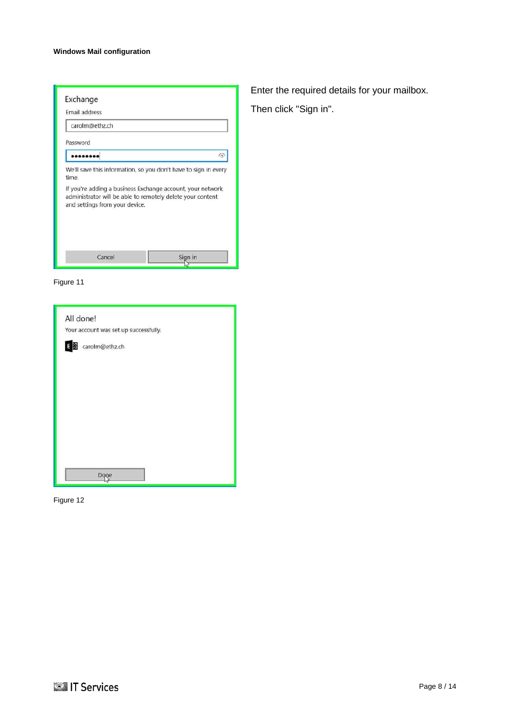### **[Windows Mail configuration](#page-0-0)**

| Exchange                                                                                     |                                                                 |
|----------------------------------------------------------------------------------------------|-----------------------------------------------------------------|
| Email address                                                                                |                                                                 |
| carolm@ethz.ch                                                                               |                                                                 |
| Password                                                                                     |                                                                 |
|                                                                                              | 6                                                               |
| time.                                                                                        | We'll save this information, so you don't have to sign in every |
| administrator will be able to remotely delete your content<br>and settings from your device. | If you're adding a business Exchange account, your network      |
|                                                                                              |                                                                 |
| Cancel                                                                                       | Sian in                                                         |



| All done!<br>Your account was set up successfully. |  |
|----------------------------------------------------|--|
| carolm@ethz.ch<br>E                                |  |
|                                                    |  |
|                                                    |  |
|                                                    |  |
|                                                    |  |
|                                                    |  |
|                                                    |  |

Figure 12

Enter the required details for your mailbox. Then click "Sign in".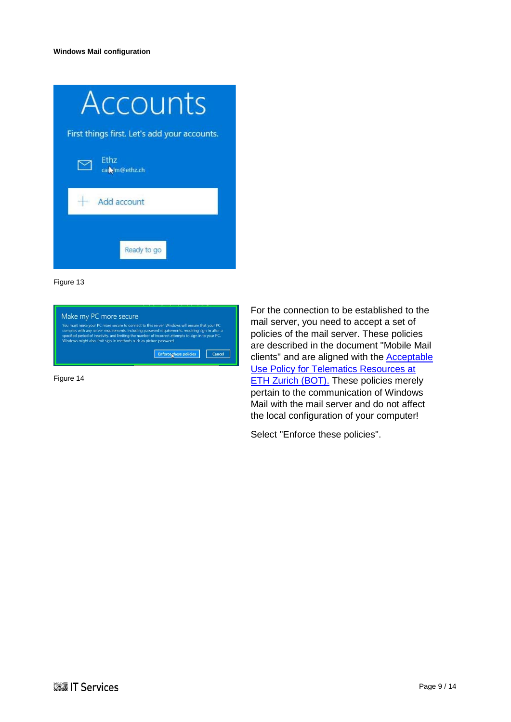| ccounts                                      |  |  |
|----------------------------------------------|--|--|
| First things first. Let's add your accounts. |  |  |
| Ethz<br>call Im@ethz.ch                      |  |  |
| Add account                                  |  |  |
| Ready to go                                  |  |  |

| Make my PC more secure                                             |                                                                                                                                                                                                                                                                                                            |
|--------------------------------------------------------------------|------------------------------------------------------------------------------------------------------------------------------------------------------------------------------------------------------------------------------------------------------------------------------------------------------------|
| Windows might also limit sign-in methods such as picture password. | You must make your PC more secure to connect to this server. Windows will ensure that your PC<br>complies with any server requirements, including password requirements, requiring sign-in after a<br>specified period of inactivity, and limiting the number of incorrect attempts to sign in to your PC. |
|                                                                    |                                                                                                                                                                                                                                                                                                            |

Figure 14

For the connection to be established to the mail server, you need to accept a set of policies of the mail server. These policies are described in the document "Mobile Mail clients" and are aligned with the [Acceptable](https://www1.ethz.ch/id/documentation/rechtliches/BOTfinal-2005_EN.pdf)  [Use Policy for Telematics Resources at](https://www1.ethz.ch/id/documentation/rechtliches/BOTfinal-2005_EN.pdf)  [ETH Zurich \(BOT\).](https://www1.ethz.ch/id/documentation/rechtliches/BOTfinal-2005_EN.pdf) These policies merely pertain to the communication of Windows Mail with the mail server and do not affect the local configuration of your computer!

Select "Enforce these policies".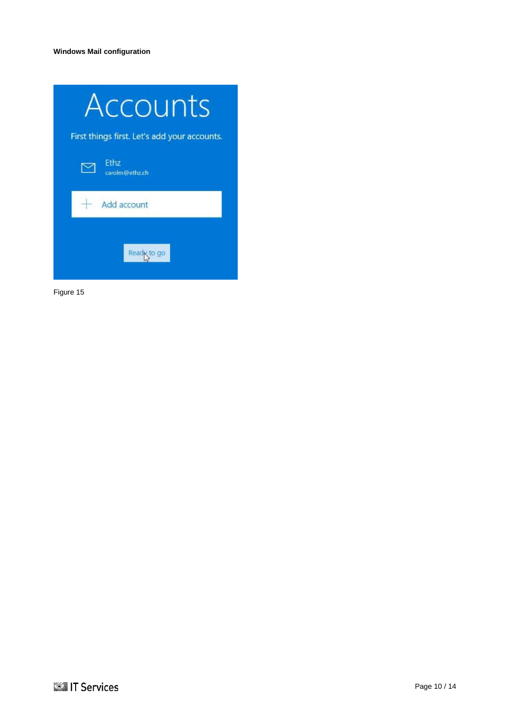| Accounts                                     |  |
|----------------------------------------------|--|
| First things first. Let's add your accounts. |  |
| Ethz<br>carolm@ethz.ch                       |  |
| Add account                                  |  |
| Read <sub>K</sub>                            |  |

Figure 15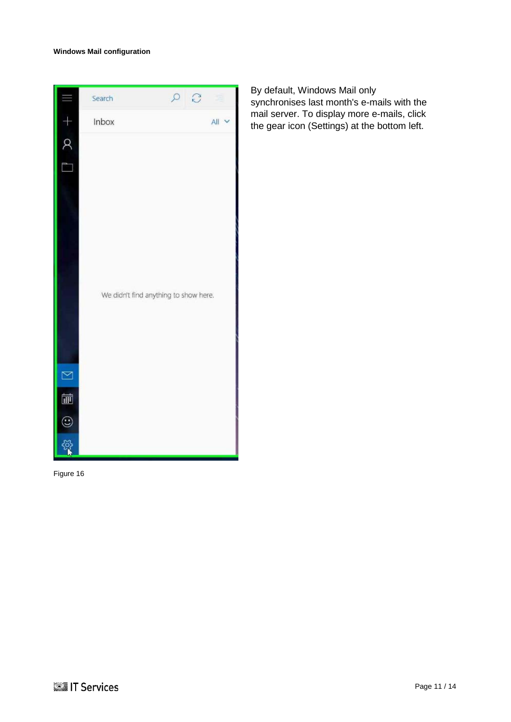

By default, Windows Mail only synchronises last month's e-mails with the mail server. To display more e-mails, click the gear icon (Settings) at the bottom left.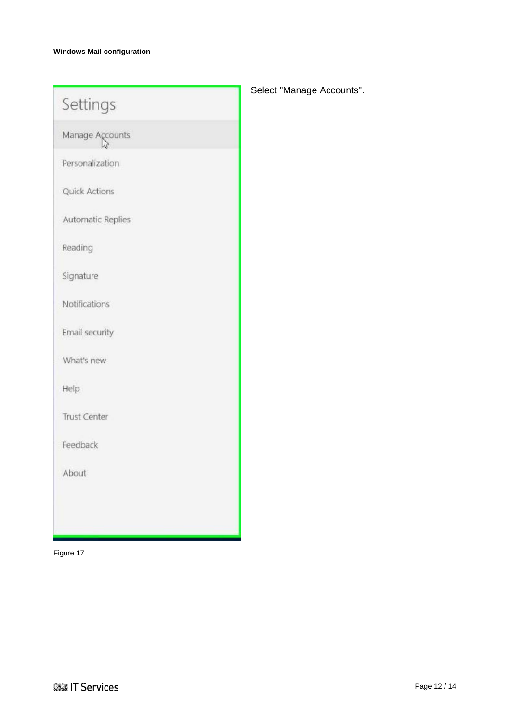| Settings             | S |
|----------------------|---|
| Manage Accounts      |   |
| Personalization      |   |
| <b>Quick Actions</b> |   |
| Automatic Replies    |   |
| Reading              |   |
| Signature            |   |
| Notifications        |   |
| Email security       |   |
| What's new           |   |
| Help                 |   |
| <b>Trust Center</b>  |   |
| Feedback             |   |
| About                |   |
|                      |   |
|                      |   |

Select "Manage Accounts".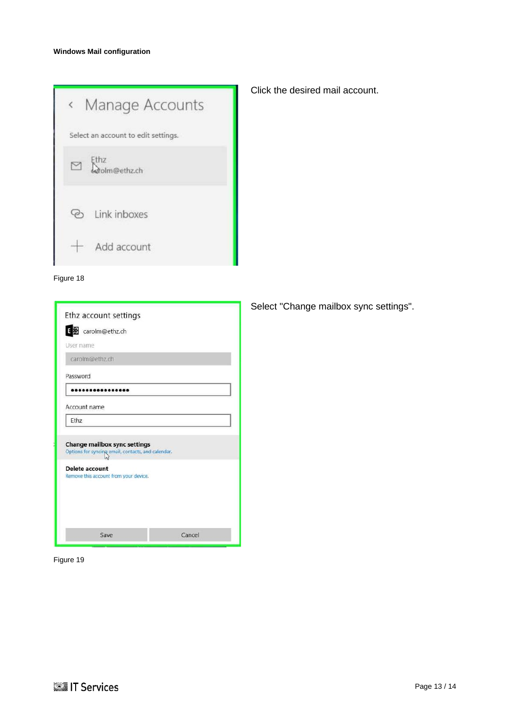| Manage Accounts<br>$\langle$        |
|-------------------------------------|
| Select an account to edit settings. |
| Ethz<br>$\Box$<br>.<br>dolm@ethz.ch |
| ව Link inboxes                      |
| Add account                         |



| E St carolm@ethz.ch                                                                                                                                         |  |
|-------------------------------------------------------------------------------------------------------------------------------------------------------------|--|
| User name                                                                                                                                                   |  |
| carolm@ethz.ch                                                                                                                                              |  |
| Password                                                                                                                                                    |  |
|                                                                                                                                                             |  |
| Account name                                                                                                                                                |  |
|                                                                                                                                                             |  |
| Ethz                                                                                                                                                        |  |
|                                                                                                                                                             |  |
| <b>Change mailbox sync settings</b><br>Options for syncing email, contacts, and calendar.<br><b>Delete account</b><br>Remove this account from your device. |  |
|                                                                                                                                                             |  |
|                                                                                                                                                             |  |
|                                                                                                                                                             |  |

Click the desired mail account.

Select "Change mailbox sync settings".

Figure 19